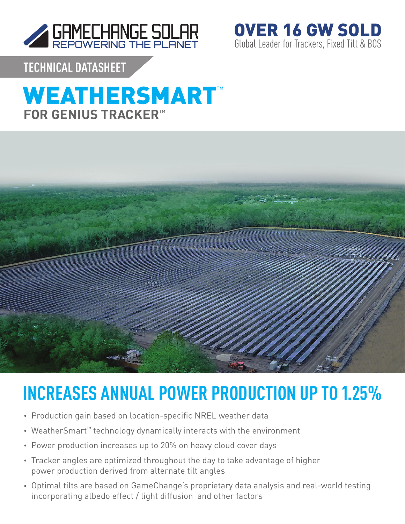

Global Leader for Trackers, Fixed Tilt & BOS OVER 16 GW SOLD

**TECHNICAL DATASHEET**

## **WEATHERSMART™ FOR GENIUS TRACKER**™



# **INCREASES ANNUAL POWER PRODUCTION UP TO 1.25%**

- Production gain based on location-specific NREL weather data
- WeatherSmart™ technology dynamically interacts with the environment
- Power production increases up to 20% on heavy cloud cover days
- Tracker angles are optimized throughout the day to take advantage of higher power production derived from alternate tilt angles
- Optimal tilts are based on GameChange's proprietary data analysis and real-world testing incorporating albedo effect / light diffusion and other factors